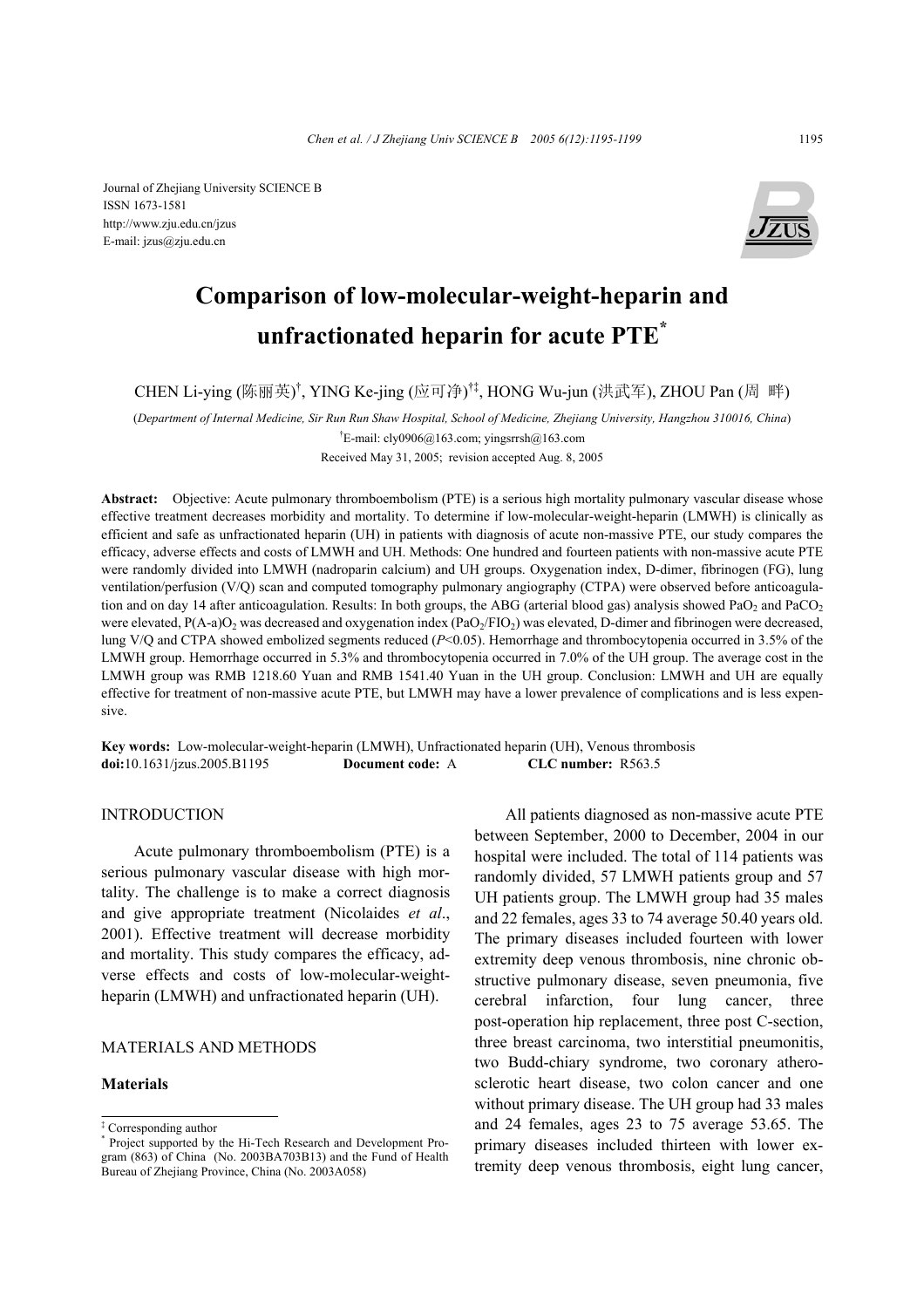Journal of Zhejiang University SCIENCE B ISSN 1673-1581 http://www.zju.edu.cn/jzus E-mail: jzus@zju.edu.cn



# **Comparison of low-molecular-weight-heparin and unfractionated heparin for acute PTE\***

CHEN Li-ying (陈丽英)<sup>†</sup>, YING Ke-jing (应可净)<sup>†‡</sup>, HONG Wu-jun (洪武军), ZHOU Pan (周 畔)

(*Department of Internal Medicine, Sir Run Run Shaw Hospital, School of Medicine, Zhejiang University, Hangzhou 310016, China*)

† E-mail: cly0906@163.com; yingsrrsh@163.com

Received May 31, 2005; revision accepted Aug. 8, 2005

**Abstract:** Objective: Acute pulmonary thromboembolism (PTE) is a serious high mortality pulmonary vascular disease whose effective treatment decreases morbidity and mortality. To determine if low-molecular-weight-heparin (LMWH) is clinically as efficient and safe as unfractionated heparin (UH) in patients with diagnosis of acute non-massive PTE, our study compares the efficacy, adverse effects and costs of LMWH and UH. Methods: One hundred and fourteen patients with non-massive acute PTE were randomly divided into LMWH (nadroparin calcium) and UH groups. Oxygenation index, D-dimer, fibrinogen (FG), lung ventilation/perfusion (V/Q) scan and computed tomography pulmonary angiography (CTPA) were observed before anticoagulation and on day 14 after anticoagulation. Results: In both groups, the ABG (arterial blood gas) analysis showed PaO<sub>2</sub> and PaCO<sub>2</sub> were elevated,  $P(A-a)O_2$  was decreased and oxygenation index  $(PaO<sub>2</sub>/FIO<sub>2</sub>)$  was elevated, D-dimer and fibrinogen were decreased, lung V/Q and CTPA showed embolized segments reduced ( $P<0.05$ ). Hemorrhage and thrombocytopenia occurred in 3.5% of the LMWH group. Hemorrhage occurred in 5.3% and thrombocytopenia occurred in 7.0% of the UH group. The average cost in the LMWH group was RMB 1218.60 Yuan and RMB 1541.40 Yuan in the UH group. Conclusion: LMWH and UH are equally effective for treatment of non-massive acute PTE, but LMWH may have a lower prevalence of complications and is less expensive.

**Key words:** Low-molecular-weight-heparin (LMWH), Unfractionated heparin (UH), Venous thrombosis **doi:**10.1631/jzus.2005.B1195 **Document code:** A **CLC number:** R563.5

# **INTRODUCTION**

Acute pulmonary thromboembolism (PTE) is a serious pulmonary vascular disease with high mortality. The challenge is to make a correct diagnosis and give appropriate treatment (Nicolaides *et al*., 2001). Effective treatment will decrease morbidity and mortality. This study compares the efficacy, adverse effects and costs of low-molecular-weightheparin (LMWH) and unfractionated heparin (UH).

# MATERIALS AND METHODS

#### **Materials**

All patients diagnosed as non-massive acute PTE between September, 2000 to December, 2004 in our hospital were included. The total of 114 patients was randomly divided, 57 LMWH patients group and 57 UH patients group. The LMWH group had 35 males and 22 females, ages 33 to 74 average 50.40 years old. The primary diseases included fourteen with lower extremity deep venous thrombosis, nine chronic obstructive pulmonary disease, seven pneumonia, five cerebral infarction, four lung cancer, three post-operation hip replacement, three post C-section, three breast carcinoma, two interstitial pneumonitis, two Budd-chiary syndrome, two coronary atherosclerotic heart disease, two colon cancer and one without primary disease. The UH group had 33 males and 24 females, ages 23 to 75 average 53.65. The primary diseases included thirteen with lower extremity deep venous thrombosis, eight lung cancer,

<sup>‡</sup> Corresponding author

<sup>\*</sup> Project supported by the Hi-Tech Research and Development Program (863) of China (No. 2003BA703B13) and the Fund of Health Bureau of Zhejiang Province, China (No. 2003A058)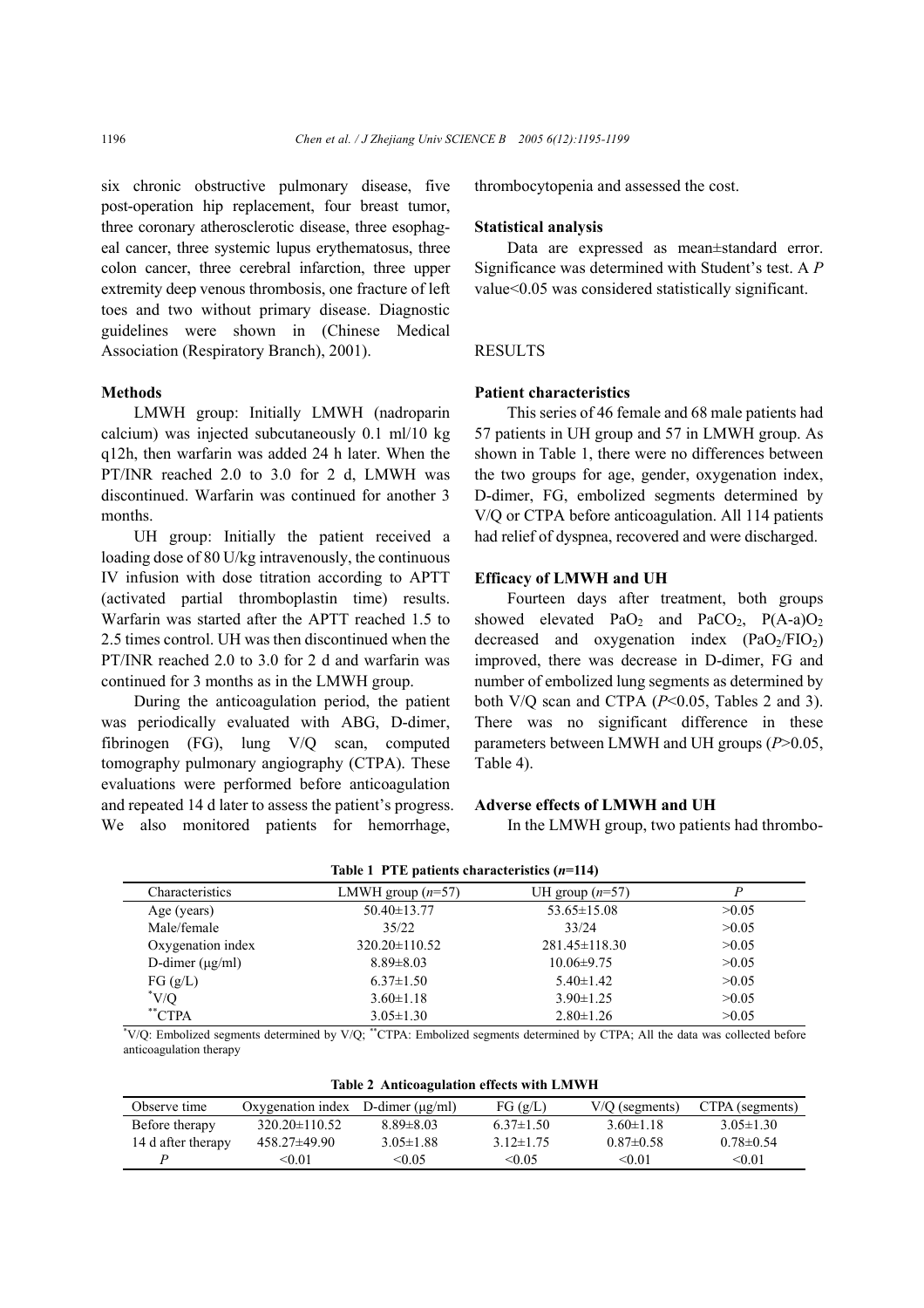six chronic obstructive pulmonary disease, five post-operation hip replacement, four breast tumor, three coronary atherosclerotic disease, three esophageal cancer, three systemic lupus erythematosus, three colon cancer, three cerebral infarction, three upper extremity deep venous thrombosis, one fracture of left toes and two without primary disease. Diagnostic guidelines were shown in (Chinese Medical Association (Respiratory Branch), 2001).

#### **Methods**

LMWH group: Initially LMWH (nadroparin calcium) was injected subcutaneously 0.1 ml/10 kg q12h, then warfarin was added 24 h later. When the PT/INR reached 2.0 to 3.0 for 2 d, LMWH was discontinued. Warfarin was continued for another 3 months.

UH group: Initially the patient received a loading dose of 80 U/kg intravenously, the continuous IV infusion with dose titration according to APTT (activated partial thromboplastin time) results. Warfarin was started after the APTT reached 1.5 to 2.5 times control. UH was then discontinued when the PT/INR reached 2.0 to 3.0 for 2 d and warfarin was continued for 3 months as in the LMWH group.

During the anticoagulation period, the patient was periodically evaluated with ABG, D-dimer, fibrinogen (FG), lung V/Q scan, computed tomography pulmonary angiography (CTPA). These evaluations were performed before anticoagulation and repeated 14 d later to assess the patient's progress. We also monitored patients for hemorrhage,

thrombocytopenia and assessed the cost.

### **Statistical analysis**

Data are expressed as mean±standard error. Significance was determined with Student's test. A *P* value<0.05 was considered statistically significant.

# **RESULTS**

#### **Patient characteristics**

This series of 46 female and 68 male patients had 57 patients in UH group and 57 in LMWH group. As shown in Table 1, there were no differences between the two groups for age, gender, oxygenation index, D-dimer, FG, embolized segments determined by V/Q or CTPA before anticoagulation. All 114 patients had relief of dyspnea, recovered and were discharged.

#### **Efficacy of LMWH and UH**

Fourteen days after treatment, both groups showed elevated  $PaO<sub>2</sub>$  and  $PaCO<sub>2</sub>$ ,  $P(A-a)O<sub>2</sub>$ decreased and oxygenation index  $(PaO<sub>2</sub>/FIO<sub>2</sub>)$ improved, there was decrease in D-dimer, FG and number of embolized lung segments as determined by both V/Q scan and CTPA (*P*<0.05, Tables 2 and 3). There was no significant difference in these parameters between LMWH and UH groups (*P*>0.05, Table 4).

# **Adverse effects of LMWH and UH**

In the LMWH group, two patients had thrombo-

| Characteristics        | LMWH group $(n=57)$                                                                                                          | UH group $(n=57)$   |       |
|------------------------|------------------------------------------------------------------------------------------------------------------------------|---------------------|-------|
| Age (years)            | $50.40 \pm 13.77$                                                                                                            | $53.65 \pm 15.08$   | >0.05 |
| Male/female            | 35/22                                                                                                                        | 33/24               | >0.05 |
| Oxygenation index      | $320.20 \pm 110.52$                                                                                                          | $281.45 \pm 118.30$ | >0.05 |
| D-dimer $(\mu g/ml)$   | $8.89 \pm 8.03$                                                                                                              | $10.06 \pm 9.75$    | >0.05 |
| FG(g/L)                | $6.37 \pm 1.50$                                                                                                              | $5.40 \pm 1.42$     | >0.05 |
| $\rm ^*V/O$            | $3.60 \pm 1.18$                                                                                                              | $3.90 \pm 1.25$     | >0.05 |
| $*$ <sup>**</sup> CTPA | $3.05 \pm 1.30$                                                                                                              | $2.80 \pm 1.26$     | >0.05 |
|                        | *V/Q: Embolized segments determined by V/Q; **CTPA: Embolized segments determined by CTPA; All the data was collected before |                     |       |

anticoagulation therapy

**Table 2 Anticoagulation effects with LMWH** 

| <b>TROIE 2 AND CONGUISITION CHECTS WITH LIM WH</b> |                                            |                 |                 |                  |                 |
|----------------------------------------------------|--------------------------------------------|-----------------|-----------------|------------------|-----------------|
| Observe time                                       | Oxygenation index $D$ -dimer ( $\mu$ g/ml) |                 | FG(g/L)         | $V/Q$ (segments) | CTPA (segments) |
| Before therapy                                     | $320.20 \pm 110.52$                        | $8.89 \pm 8.03$ | $6.37\pm1.50$   | $3.60 \pm 1.18$  | $3.05 \pm 1.30$ |
| 14 d after therapy                                 | $458.27\pm49.90$                           | $3.05 \pm 1.88$ | $3.12 \pm 1.75$ | $0.87 \pm 0.58$  | $0.78 \pm 0.54$ |
|                                                    | <0.01                                      | < 0.05          | < 0.05          | < 0.01           | < 0.01          |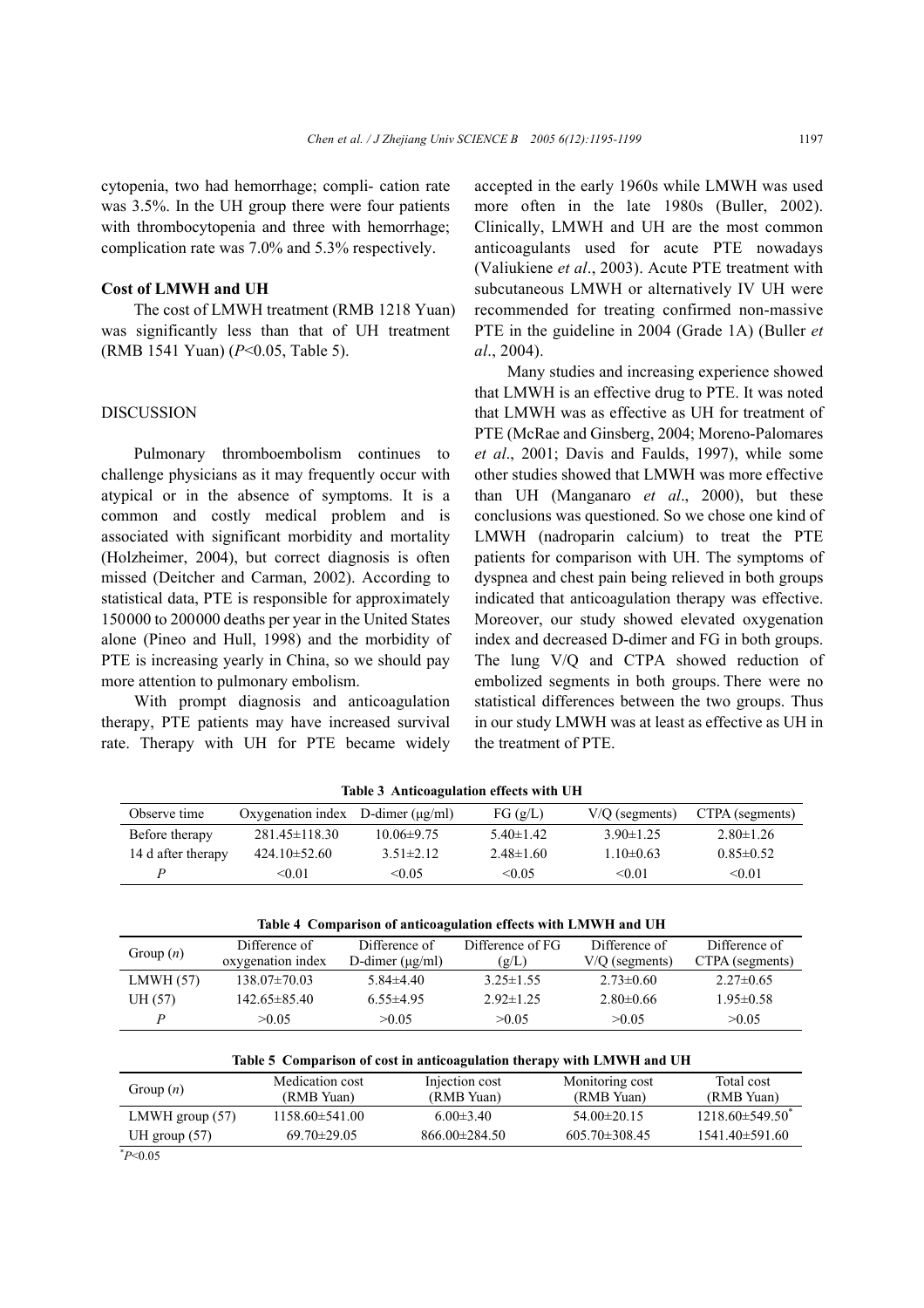cytopenia, two had hemorrhage; compli- cation rate was 3.5%. In the UH group there were four patients with thrombocytopenia and three with hemorrhage; complication rate was 7.0% and 5.3% respectively.

# **Cost of LMWH and UH**

The cost of LMWH treatment (RMB 1218 Yuan) was significantly less than that of UH treatment (RMB 1541 Yuan) (*P*<0.05, Table 5).

#### DISCUSSION

Pulmonary thromboembolism continues to challenge physicians as it may frequently occur with atypical or in the absence of symptoms. It is a common and costly medical problem and is associated with significant morbidity and mortality (Holzheimer, 2004), but correct diagnosis is often missed (Deitcher and Carman, 2002). According to statistical data, PTE is responsible for approximately 150000 to 200000 deaths per year in the United States alone (Pineo and Hull, 1998) and the morbidity of PTE is increasing yearly in China, so we should pay more attention to pulmonary embolism.

With prompt diagnosis and anticoagulation therapy, PTE patients may have increased survival rate. Therapy with UH for PTE became widely accepted in the early 1960s while LMWH was used more often in the late 1980s (Buller, 2002). Clinically, LMWH and UH are the most common anticoagulants used for acute PTE nowadays (Valiukiene *et al*., 2003). Acute PTE treatment with subcutaneous LMWH or alternatively IV UH were recommended for treating confirmed non-massive PTE in the guideline in 2004 (Grade 1A) (Buller *et al*., 2004).

Many studies and increasing experience showed that LMWH is an effective drug to PTE. It was noted that LMWH was as effective as UH for treatment of PTE (McRae and Ginsberg, 2004; Moreno-Palomares *et al*., 2001; Davis and Faulds, 1997), while some other studies showed that LMWH was more effective than UH (Manganaro *et al*., 2000), but these conclusions was questioned. So we chose one kind of LMWH (nadroparin calcium) to treat the PTE patients for comparison with UH. The symptoms of dyspnea and chest pain being relieved in both groups indicated that anticoagulation therapy was effective. Moreover, our study showed elevated oxygenation index and decreased D-dimer and FG in both groups. The lung V/Q and CTPA showed reduction of embolized segments in both groups. There were no statistical differences between the two groups. Thus in our study LMWH was at least as effective as UH in the treatment of PTE.

| Tuble controlled the checks with CH |                                            |                  |                 |                  |                 |
|-------------------------------------|--------------------------------------------|------------------|-----------------|------------------|-----------------|
| Observe time                        | Oxygenation index $D$ -dimer ( $\mu$ g/ml) |                  | FG(g/L)         | $V/O$ (segments) | CTPA (segments) |
| Before therapy                      | $281.45 \pm 118.30$                        | $10.06 \pm 9.75$ | $5.40 \pm 1.42$ | $3.90 \pm 1.25$  | $2.80 \pm 1.26$ |
| 14 d after therapy                  | $424.10\pm52.60$                           | $3.51 \pm 2.12$  | $2.48 \pm 1.60$ | $1.10\pm0.63$    | $0.85 \pm 0.52$ |
| P                                   | < 0.01                                     | < 0.05           | < 0.05          | < 0.01           | < 0.01          |

**Table 3 Anticoagulation effects with UH** 

| Table 4 Comparison of anticoagulation effects with LMWH and UH |                    |                      |                  |                  |                 |
|----------------------------------------------------------------|--------------------|----------------------|------------------|------------------|-----------------|
| Group $(n)$                                                    | Difference of      | Difference of        | Difference of FG | Difference of    | Difference of   |
|                                                                | oxygenation index  | D-dimer $(\mu g/ml)$ | (g/L)            | $V/Q$ (segments) | CTPA (segments) |
| LMWH(57)                                                       | $138.07 \pm 70.03$ | $5.84\pm4.40$        | $3.25 \pm 1.55$  | $2.73 \pm 0.60$  | $2.27 \pm 0.65$ |
| UH (57)                                                        | $142.65 \pm 85.40$ | $6.55\pm4.95$        | $2.92 \pm 1.25$  | $2.80\pm0.66$    | $1.95 \pm 0.58$ |
| D                                                              | >0.05              | >0.05                | >0.05            | >0.05            | >0.05           |

| Table 5 Comparison of cost in anticoagulation therapy with LMWH and UH |                      |                     |                     |                                 |  |
|------------------------------------------------------------------------|----------------------|---------------------|---------------------|---------------------------------|--|
| Group $(n)$                                                            | Medication cost      | Injection cost      | Monitoring cost     | Total cost                      |  |
|                                                                        | (RMB Yuan)           | (RMB Yuan)          | (RMB Yuan)          | (RMB Yuan)                      |  |
| LMWH group $(57)$                                                      | $1158.60 \pm 541.00$ | $6.00 \pm 3.40$     | $54.00 \pm 20.15$   | $1218.60\pm549.50$ <sup>*</sup> |  |
| UH group $(57)$                                                        | $69.70 \pm 29.05$    | $866.00 \pm 284.50$ | $605.70 \pm 308.45$ | $1541.40 \pm 591.60$            |  |
| $^*P<0.05$                                                             |                      |                     |                     |                                 |  |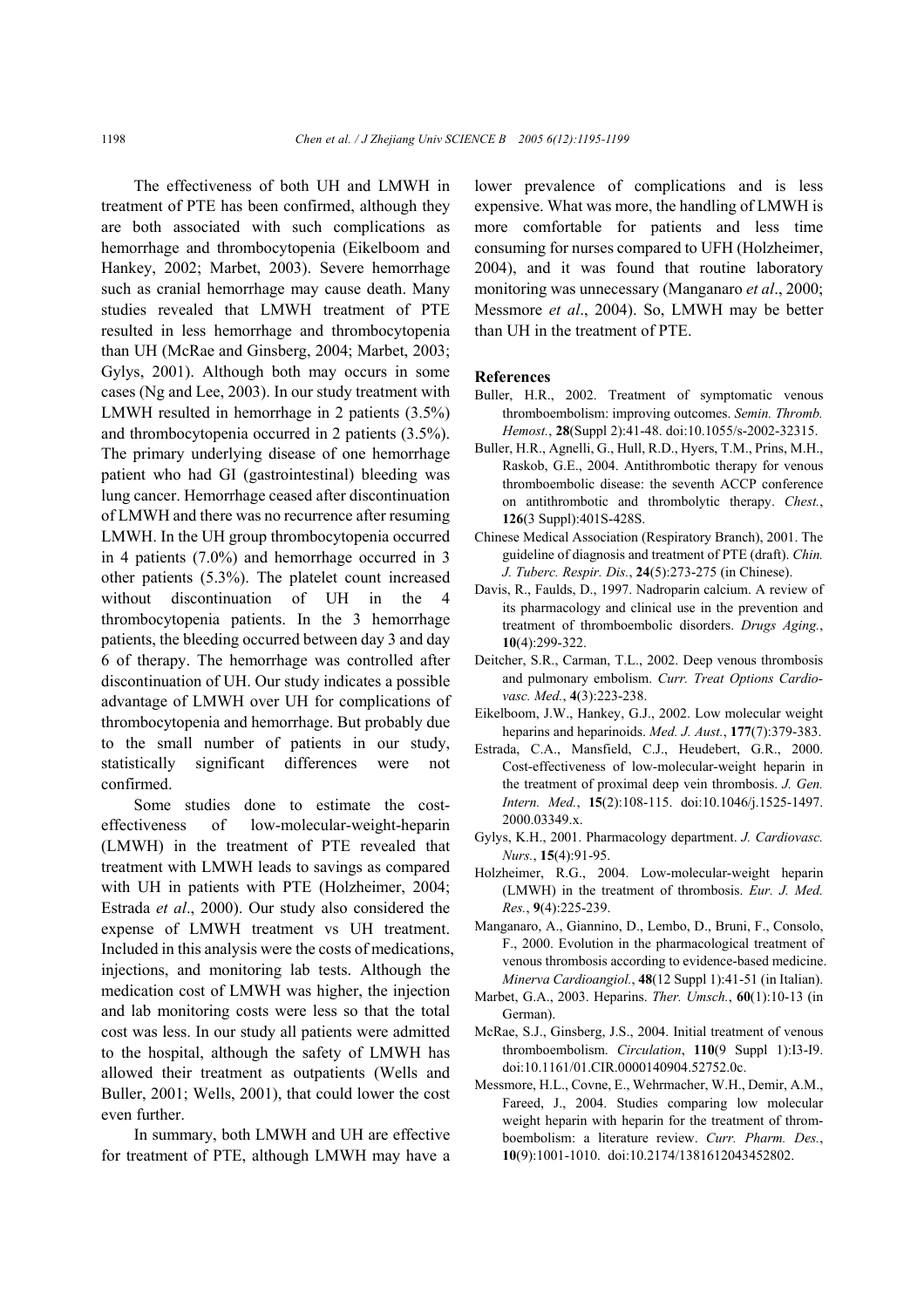The effectiveness of both UH and LMWH in treatment of PTE has been confirmed, although they are both associated with such complications as hemorrhage and thrombocytopenia (Eikelboom and Hankey, 2002; Marbet, 2003). Severe hemorrhage such as cranial hemorrhage may cause death. Many studies revealed that LMWH treatment of PTE resulted in less hemorrhage and thrombocytopenia than UH (McRae and Ginsberg, 2004; Marbet, 2003; Gylys, 2001). Although both may occurs in some cases (Ng and Lee, 2003). In our study treatment with LMWH resulted in hemorrhage in 2 patients (3.5%) and thrombocytopenia occurred in 2 patients (3.5%). The primary underlying disease of one hemorrhage patient who had GI (gastrointestinal) bleeding was lung cancer. Hemorrhage ceased after discontinuation of LMWH and there was no recurrence after resuming LMWH. In the UH group thrombocytopenia occurred in 4 patients (7.0%) and hemorrhage occurred in 3 other patients (5.3%). The platelet count increased without discontinuation of UH in the 4 thrombocytopenia patients. In the 3 hemorrhage patients, the bleeding occurred between day 3 and day 6 of therapy. The hemorrhage was controlled after discontinuation of UH. Our study indicates a possible advantage of LMWH over UH for complications of thrombocytopenia and hemorrhage. But probably due to the small number of patients in our study, statistically significant differences were not confirmed.

Some studies done to estimate the costeffectiveness of low-molecular-weight-heparin (LMWH) in the treatment of PTE revealed that treatment with LMWH leads to savings as compared with UH in patients with PTE (Holzheimer, 2004; Estrada *et al*., 2000). Our study also considered the expense of LMWH treatment vs UH treatment. Included in this analysis were the costs of medications, injections, and monitoring lab tests. Although the medication cost of LMWH was higher, the injection and lab monitoring costs were less so that the total cost was less. In our study all patients were admitted to the hospital, although the safety of LMWH has allowed their treatment as outpatients (Wells and Buller, 2001; Wells, 2001), that could lower the cost even further.

In summary, both LMWH and UH are effective for treatment of PTE, although LMWH may have a lower prevalence of complications and is less expensive. What was more, the handling of LMWH is more comfortable for patients and less time consuming for nurses compared to UFH (Holzheimer, 2004), and it was found that routine laboratory monitoring was unnecessary (Manganaro *et al*., 2000; Messmore *et al*., 2004). So, LMWH may be better than UH in the treatment of PTE.

#### **References**

- Buller, H.R., 2002. Treatment of symptomatic venous thromboembolism: improving outcomes. *Semin. Thromb. Hemost.*, **28**(Suppl 2):41-48. doi:10.1055/s-2002-32315.
- Buller, H.R., Agnelli, G., Hull, R.D., Hyers, T.M., Prins, M.H., Raskob, G.E., 2004. Antithrombotic therapy for venous thromboembolic disease: the seventh ACCP conference on antithrombotic and thrombolytic therapy. *Chest.*, **126**(3 Suppl):401S-428S.
- Chinese Medical Association (Respiratory Branch), 2001. The guideline of diagnosis and treatment of PTE (draft). *Chin. J. Tuberc. Respir. Dis.*, **24**(5):273-275 (in Chinese).
- Davis, R., Faulds, D., 1997. Nadroparin calcium. A review of its pharmacology and clinical use in the prevention and treatment of thromboembolic disorders. *Drugs Aging.*, **10**(4):299-322.
- Deitcher, S.R., Carman, T.L., 2002. Deep venous thrombosis and pulmonary embolism. *Curr. Treat Options Cardiovasc. Med.*, **4**(3):223-238.
- Eikelboom, J.W., Hankey, G.J., 2002. Low molecular weight heparins and heparinoids. *Med. J. Aust.*, **177**(7):379-383.
- Estrada, C.A., Mansfield, C.J., Heudebert, G.R., 2000. Cost-effectiveness of low-molecular-weight heparin in the treatment of proximal deep vein thrombosis. *J. Gen. Intern. Med.*, **15**(2):108-115. doi:10.1046/j.1525-1497. 2000.03349.x.
- Gylys, K.H., 2001. Pharmacology department. *J. Cardiovasc. Nurs.*, **15**(4):91-95.
- Holzheimer, R.G., 2004. Low-molecular-weight heparin (LMWH) in the treatment of thrombosis. *Eur. J. Med. Res.*, **9**(4):225-239.
- Manganaro, A., Giannino, D., Lembo, D., Bruni, F., Consolo, F., 2000. Evolution in the pharmacological treatment of venous thrombosis according to evidence-based medicine. *Minerva Cardioangiol.*, **48**(12 Suppl 1):41-51 (in Italian).
- Marbet, G.A., 2003. Heparins. *Ther. Umsch.*, **60**(1):10-13 (in German).
- McRae, S.J., Ginsberg, J.S., 2004. Initial treatment of venous thromboembolism. *Circulation*, **110**(9 Suppl 1):I3-I9. doi:10.1161/01.CIR.0000140904.52752.0c.
- Messmore, H.L., Covne, E., Wehrmacher, W.H., Demir, A.M., Fareed, J., 2004. Studies comparing low molecular weight heparin with heparin for the treatment of thromboembolism: a literature review. *Curr. Pharm. Des.*, **10**(9):1001-1010. doi:10.2174/1381612043452802.